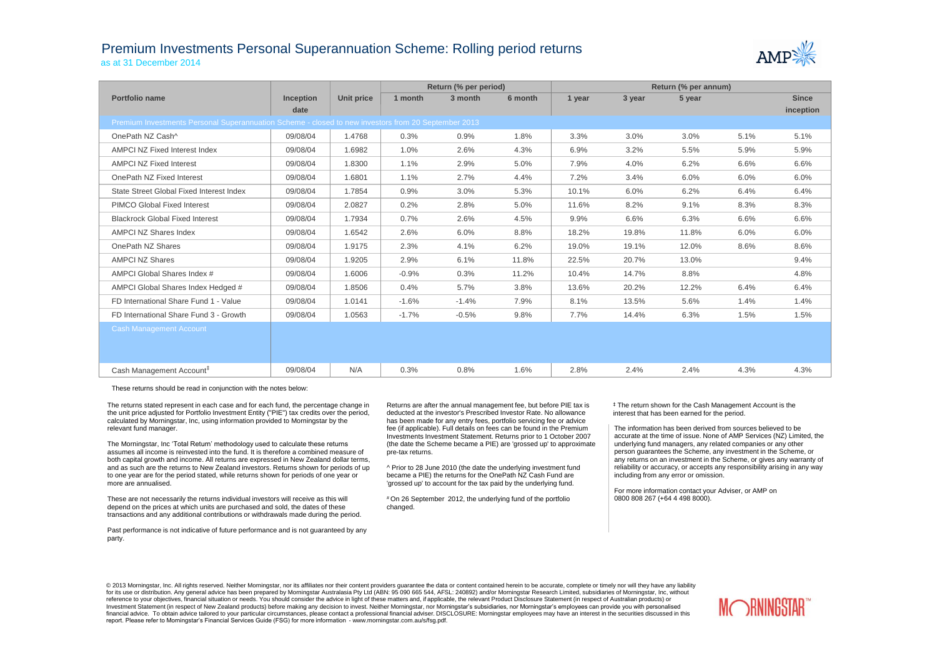## Premium Investments Personal Superannuation Scheme: Rolling period returns as at 31 December 2014



|                                                                                                     |                  |            | Return (% per period) |         |         | Return (% per annum) |        |        |      |              |  |
|-----------------------------------------------------------------------------------------------------|------------------|------------|-----------------------|---------|---------|----------------------|--------|--------|------|--------------|--|
| Portfolio name                                                                                      | <b>Inception</b> | Unit price | 1 month               | 3 month | 6 month | 1 year               | 3 year | 5 year |      | <b>Since</b> |  |
|                                                                                                     | date             |            |                       |         |         |                      |        |        |      | inception    |  |
| Premium Investments Personal Superannuation Scheme - closed to new investors from 20 September 2013 |                  |            |                       |         |         |                      |        |        |      |              |  |
| OnePath NZ Cash^                                                                                    | 09/08/04         | 1.4768     | 0.3%                  | 0.9%    | 1.8%    | 3.3%                 | 3.0%   | 3.0%   | 5.1% | 5.1%         |  |
| AMPCI NZ Fixed Interest Index                                                                       | 09/08/04         | 1.6982     | 1.0%                  | 2.6%    | 4.3%    | 6.9%                 | 3.2%   | 5.5%   | 5.9% | 5.9%         |  |
| <b>AMPCI NZ Fixed Interest</b>                                                                      | 09/08/04         | 1.8300     | 1.1%                  | 2.9%    | 5.0%    | 7.9%                 | 4.0%   | 6.2%   | 6.6% | 6.6%         |  |
| OnePath NZ Fixed Interest                                                                           | 09/08/04         | 1.6801     | 1.1%                  | 2.7%    | 4.4%    | 7.2%                 | 3.4%   | 6.0%   | 6.0% | 6.0%         |  |
| State Street Global Fixed Interest Index                                                            | 09/08/04         | 1.7854     | 0.9%                  | 3.0%    | 5.3%    | 10.1%                | 6.0%   | 6.2%   | 6.4% | 6.4%         |  |
| <b>PIMCO Global Fixed Interest</b>                                                                  | 09/08/04         | 2.0827     | 0.2%                  | 2.8%    | 5.0%    | 11.6%                | 8.2%   | 9.1%   | 8.3% | 8.3%         |  |
| <b>Blackrock Global Fixed Interest</b>                                                              | 09/08/04         | 1.7934     | 0.7%                  | 2.6%    | 4.5%    | 9.9%                 | 6.6%   | 6.3%   | 6.6% | 6.6%         |  |
| <b>AMPCI NZ Shares Index</b>                                                                        | 09/08/04         | 1.6542     | 2.6%                  | 6.0%    | 8.8%    | 18.2%                | 19.8%  | 11.8%  | 6.0% | 6.0%         |  |
| OnePath NZ Shares                                                                                   | 09/08/04         | 1.9175     | 2.3%                  | 4.1%    | 6.2%    | 19.0%                | 19.1%  | 12.0%  | 8.6% | 8.6%         |  |
| <b>AMPCI NZ Shares</b>                                                                              | 09/08/04         | 1.9205     | 2.9%                  | 6.1%    | 11.8%   | 22.5%                | 20.7%  | 13.0%  |      | 9.4%         |  |
| AMPCI Global Shares Index #                                                                         | 09/08/04         | 1.6006     | $-0.9%$               | 0.3%    | 11.2%   | 10.4%                | 14.7%  | 8.8%   |      | 4.8%         |  |
| AMPCI Global Shares Index Hedged #                                                                  | 09/08/04         | 1.8506     | 0.4%                  | 5.7%    | 3.8%    | 13.6%                | 20.2%  | 12.2%  | 6.4% | 6.4%         |  |
| FD International Share Fund 1 - Value                                                               | 09/08/04         | 1.0141     | $-1.6%$               | $-1.4%$ | 7.9%    | 8.1%                 | 13.5%  | 5.6%   | 1.4% | 1.4%         |  |
| FD International Share Fund 3 - Growth                                                              | 09/08/04         | 1.0563     | $-1.7%$               | $-0.5%$ | 9.8%    | 7.7%                 | 14.4%  | 6.3%   | 1.5% | 1.5%         |  |
| <b>Cash Management Account</b>                                                                      |                  |            |                       |         |         |                      |        |        |      |              |  |
|                                                                                                     |                  |            |                       |         |         |                      |        |        |      |              |  |
|                                                                                                     |                  |            |                       |         |         |                      |        |        |      |              |  |
| Cash Management Account <sup>#</sup>                                                                | 09/08/04         | N/A        | 0.3%                  | 0.8%    | 1.6%    | 2.8%                 | 2.4%   | 2.4%   | 4.3% | 4.3%         |  |

These returns should be read in conjunction with the notes below:

The returns stated represent in each case and for each fund, the percentage change in the unit price adjusted for Portfolio Investment Entity ("PIE") tax credits over the period, calculated by Morningstar, Inc, using information provided to Morningstar by the relevant fund manager.

The Morningstar, Inc 'Total Return' methodology used to calculate these returns assumes all income is reinvested into the fund. It is therefore a combined measure of both capital growth and income. All returns are expressed in New Zealand dollar terms, and as such are the returns to New Zealand investors. Returns shown for periods of up to one year are for the period stated, while returns shown for periods of one year or more are annualised.

These are not necessarily the returns individual investors will receive as this will depend on the prices at which units are purchased and sold, the dates of these transactions and any additional contributions or withdrawals made during the period.

Past performance is not indicative of future performance and is not guaranteed by any party.

Returns are after the annual management fee, but before PIE tax is deducted at the investor's Prescribed Investor Rate. No allowance has been made for any entry fees, portfolio servicing fee or advice fee (if applicable). Full details on fees can be found in the Premium Investments Investment Statement. Returns prior to 1 October 2007 (the date the Scheme became a PIE) are 'grossed up' to approximate pre-tax returns.

^ Prior to 28 June 2010 (the date the underlying investment fund became a PIE) the returns for the OnePath NZ Cash Fund are 'grossed up' to account for the tax paid by the underlying fund.

# On 26 September 2012, the underlying fund of the portfolio changed.

‡ The return shown for the Cash Management Account is the interest that has been earned for the period.

The information has been derived from sources believed to be accurate at the time of issue. None of AMP Services (NZ) Limited, the underlying fund managers, any related companies or any other person guarantees the Scheme, any investment in the Scheme, or any returns on an investment in the Scheme, or gives any warranty of reliability or accuracy, or accepts any responsibility arising in any way including from any error or omission.

For more information contact your Adviser, or AMP on 0800 808 267 (+64 4 498 8000).

© 2013 Morningstar, Inc. All rights reserved. Neither Morningstar, nor its affiliates nor their content providers quarantee the data or content contained herein to be accurate, complete or timely nor will they have any lia for its use or distribution. Any general advice has been prepared by Morningstar Australasia Pty Ltd (ABN: 95 090 665 544, AFSL: 240892) and/or Morningstar Research Limited, subsidiaries of Morningstar, Inc, without reference to your objectives, financial situation or needs. You should consider the advice in light of these matters and, if applicable, the relevant Product Disclosure Statement (in respect of Australian products) or Investment Statement (in respect of New Zealand products) before making any decision to invest. Neither Morningstar, nor Morningstar's subsidiaries, nor Morningstar's employees can provide you with personalised financial advice. To obtain advice tailored to your particular circumstances, please contact a professional financial adviser. DISCLOSURE: Morningstar employees may have an interest in the securities discussed in this report. Please refer to Morningstar's Financial Services Guide (FSG) for more information - www.morningstar.com.au/s/fsg.pdf.